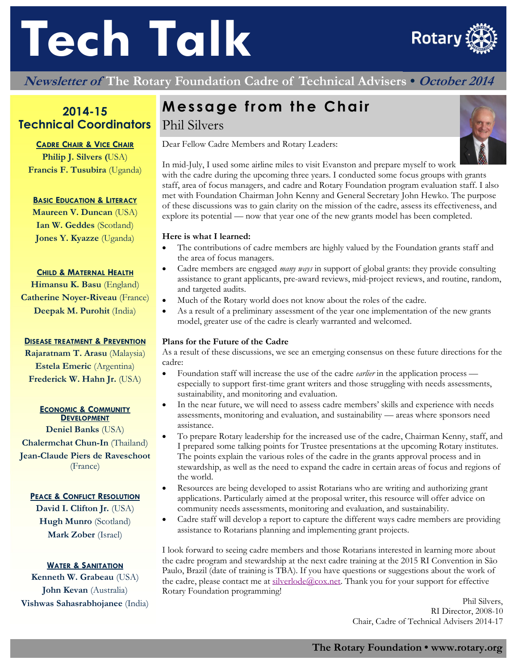# **Tech Talk**



**Newsletter of The Rotary Foundation Cadre of Technical Advisers • October 2014**

# **2014-15 Technical Coordinators**

#### **CADRE CHAIR & VICE CHAIR**

**Philip J. Silvers (**USA) **Francis F. Tusubira** (Uganda)

#### **BASIC EDUCATION & LITERACY**

**Maureen V. Duncan** (USA) **Ian W. Geddes** (Scotland) **Jones Y. Kyazze** (Uganda)

#### **CHILD & MATERNAL HEALTH**

**Himansu K. Basu** (England) **Catherine Noyer-Riveau** (France) **Deepak M. Purohit** (India)

#### **DISEASE TREATMENT & PREVENTION**

**Rajaratnam T. Arasu** (Malaysia) **Estela Emeric** (Argentina) **Frederick W. Hahn Jr.** (USA)

# **ECONOMIC & COMMUNITY**<br>**DEVELOPMENT**

**Deniel Banks** (USA) **Chalermchat Chun-In** (Thailand) **Jean-Claude Piers de Raveschoot**  (France)

#### **PEACE & CONFLICT RESOLUTION**

**David I. Clifton Jr.** (USA) **Hugh Munro** (Scotland) **Mark Zober** (Israel)

#### **WATER & SANITATION**

**Kenneth W. Grabeau** (USA) **John Kevan** (Australia) **Vishwas Sahasrabhojanee** (India)

# **Message from the Chair**

# Phil Silvers

Dear Fellow Cadre Members and Rotary Leaders:



In mid-July, I used some airline miles to visit Evanston and prepare myself to work with the cadre during the upcoming three years. I conducted some focus groups with grants staff, area of focus managers, and cadre and Rotary Foundation program evaluation staff. I also met with Foundation Chairman John Kenny and General Secretary John Hewko. The purpose of these discussions was to gain clarity on the mission of the cadre, assess its effectiveness, and explore its potential — now that year one of the new grants model has been completed.

#### **Here is what I learned:**

- The contributions of cadre members are highly valued by the Foundation grants staff and the area of focus managers.
- Cadre members are engaged *many ways* in support of global grants: they provide consulting assistance to grant applicants, pre-award reviews, mid-project reviews, and routine, random, and targeted audits.
- Much of the Rotary world does not know about the roles of the cadre.
- As a result of a preliminary assessment of the year one implementation of the new grants model, greater use of the cadre is clearly warranted and welcomed.

#### **Plans for the Future of the Cadre**

As a result of these discussions, we see an emerging consensus on these future directions for the cadre:

- Foundation staff will increase the use of the cadre *earlier* in the application process especially to support first-time grant writers and those struggling with needs assessments, sustainability, and monitoring and evaluation.
- In the near future, we will need to assess cadre members' skills and experience with needs assessments, monitoring and evaluation, and sustainability — areas where sponsors need assistance.
- To prepare Rotary leadership for the increased use of the cadre, Chairman Kenny, staff, and I prepared some talking points for Trustee presentations at the upcoming Rotary institutes. The points explain the various roles of the cadre in the grants approval process and in stewardship, as well as the need to expand the cadre in certain areas of focus and regions of the world.
- Resources are being developed to assist Rotarians who are writing and authorizing grant applications. Particularly aimed at the proposal writer, this resource will offer advice on community needs assessments, monitoring and evaluation, and sustainability.
- Cadre staff will develop a report to capture the different ways cadre members are providing assistance to Rotarians planning and implementing grant projects.

I look forward to seeing cadre members and those Rotarians interested in learning more about the cadre program and stewardship at the next cadre training at the 2015 RI Convention in São Paulo, Brazil (date of training is TBA). If you have questions or suggestions about the work of the cadre, please contact me at  $\frac{\text{s}}{\text{l} \text{verlode}(a) \text{cos.net}}$ . Thank you for your support for effective Rotary Foundation programming!

> Phil Silvers, RI Director, 2008-10 Chair, Cadre of Technical Advisers 2014-17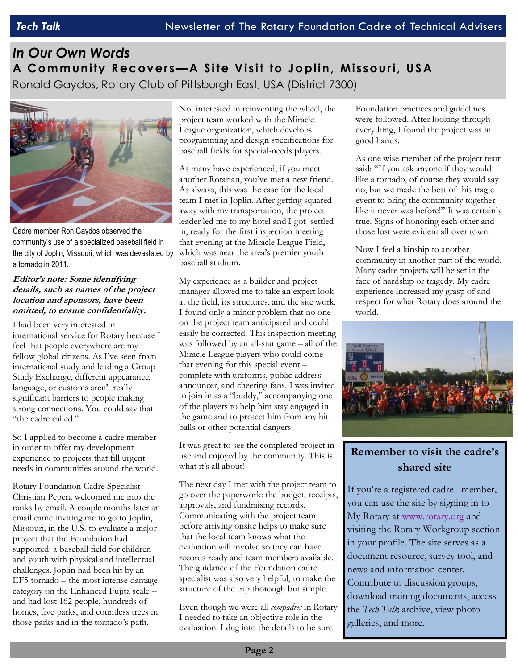# *In Our Own Words*  **A Community R ecovers—A Site Visit to Joplin, Missouri, USA**  Ronald Gaydos, Rotary Club of Pittsburgh East, USA (District 7300)



Cadre member Ron Gaydos observed the community's use of a specialized baseball field in the city of Joplin, Missouri, which was devastated by a tornado in 2011.

#### **Editor's note: Some identifying details, such as names of the project location and sponsors, have been omitted, to ensure confidentiality.**

I had been very interested in international service for Rotary because I feel that people everywhere are my fellow global citizens. As I've seen from international study and leading a Group Study Exchange, different appearance, language, or customs aren't really significant barriers to people making strong connections. You could say that "the cadre called."

So I applied to become a cadre member in order to offer my development experience to projects that fill urgent needs in communities around the world.

Rotary Foundation Cadre Specialist Christian Pepera welcomed me into the ranks by email. A couple months later an email came inviting me to go to Joplin, Missouri, in the U.S. to evaluate a major project that the Foundation had supported: a baseball field for children and youth with physical and intellectual challenges. Joplin had been hit by an EF5 tornado – the most intense damage category on the Enhanced Fujita scale – and had lost 162 people, hundreds of homes, five parks, and countless trees in those parks and in the tornado's path.

Not interested in reinventing the wheel, the project team worked with the Miracle League organization, which develops programming and design specifications for baseball fields for special-needs players.

As many have experienced, if you meet another Rotarian, you've met a new friend. As always, this was the case for the local team I met in Joplin. After getting squared away with my transportation, the project leader led me to my hotel and I got settled in, ready for the first inspection meeting that evening at the Miracle League Field, which was near the area's premier youth baseball stadium.

My experience as a builder and project manager allowed me to take an expert look at the field, its structures, and the site work. I found only a minor problem that no one on the project team anticipated and could easily be corrected. This inspection meeting was followed by an all-star game – all of the Miracle League players who could come that evening for this special event – complete with uniforms, public address announcer, and cheering fans. I was invited to join in as a "buddy," accompanying one of the players to help him stay engaged in the game and to protect him from any hit balls or other potential dangers.

It was great to see the completed project in use and enjoyed by the community. This is what it's all about!

The next day I met with the project team to go over the paperwork: the budget, receipts, approvals, and fundraising records. Communicating with the project team before arriving onsite helps to make sure that the local team knows what the evaluation will involve so they can have records ready and team members available. The guidance of the Foundation cadre specialist was also very helpful, to make the structure of the trip thorough but simple.

Even though we were all *compadres* in Rotary I needed to take an objective role in the evaluation. I dug into the details to be sure

Foundation practices and guidelines were followed. After looking through everything, I found the project was in good hands.

As one wise member of the project team said: "If you ask anyone if they would like a tornado, of course they would say no, but we made the best of this tragic event to bring the community together like it never was before!" It was certainly true. Signs of honoring each other and those lost were evident all over town.

Now I feel a kinship to another community in another part of the world. Many cadre projects will be set in the face of hardship or tragedy. My cadre experience increased my grasp of and respect for what Rotary does around the world.



# **Remember to visit the cadre's shared site**

If you're a registered cadre member, you can use the site by signing in to My Rotary at www.rotary.org and visiting the Rotary Workgroup section in your profile. The site serves as a document resource, survey tool, and news and information center. Contribute to discussion groups, download training documents, access the *Tech Talk* archive, view photo galleries, and more.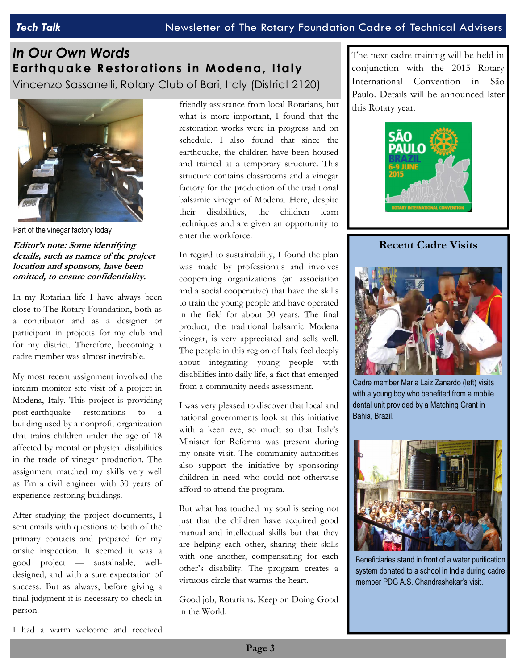# *In Our Own Words*  **Earth qu ake R estor ations in Moden a, Italy**  Vincenzo Sassanelli, Rotary Club of Bari, Italy (District 2120)



Part of the vinegar factory today

**Editor's note: Some identifying details, such as names of the project location and sponsors, have been omitted, to ensure confidentiality.** 

In my Rotarian life I have always been close to The Rotary Foundation, both as a contributor and as a designer or participant in projects for my club and for my district. Therefore, becoming a cadre member was almost inevitable.

My most recent assignment involved the interim monitor site visit of a project in Modena, Italy. This project is providing post-earthquake restorations to building used by a nonprofit organization that trains children under the age of 18 affected by mental or physical disabilities in the trade of vinegar production. The assignment matched my skills very well as I'm a civil engineer with 30 years of experience restoring buildings.

After studying the project documents, I sent emails with questions to both of the primary contacts and prepared for my onsite inspection. It seemed it was a good project — sustainable, welldesigned, and with a sure expectation of success. But as always, before giving a final judgment it is necessary to check in person.

friendly assistance from local Rotarians, but what is more important, I found that the restoration works were in progress and on schedule. I also found that since the earthquake, the children have been housed and trained at a temporary structure. This structure contains classrooms and a vinegar factory for the production of the traditional balsamic vinegar of Modena. Here, despite their disabilities, the children learn techniques and are given an opportunity to enter the workforce.

In regard to sustainability, I found the plan was made by professionals and involves cooperating organizations (an association and a social cooperative) that have the skills to train the young people and have operated in the field for about 30 years. The final product, the traditional balsamic Modena vinegar, is very appreciated and sells well. The people in this region of Italy feel deeply about integrating young people with disabilities into daily life, a fact that emerged from a community needs assessment.

I was very pleased to discover that local and national governments look at this initiative with a keen eye, so much so that Italy's Minister for Reforms was present during my onsite visit. The community authorities also support the initiative by sponsoring children in need who could not otherwise afford to attend the program.

But what has touched my soul is seeing not just that the children have acquired good manual and intellectual skills but that they are helping each other, sharing their skills with one another, compensating for each other's disability. The program creates a virtuous circle that warms the heart.

Good job, Rotarians. Keep on Doing Good in the World.

The next cadre training will be held in conjunction with the 2015 Rotary International Convention in São Paulo. Details will be announced later this Rotary year.



**Recent Cadre Visits** 



Cadre member Maria Laiz Zanardo (left) visits with a young boy who benefited from a mobile dental unit provided by a Matching Grant in Bahia, Brazil.



Beneficiaries stand in front of a water purification system donated to a school in India during cadre member PDG A.S. Chandrashekar's visit.

I had a warm welcome and received